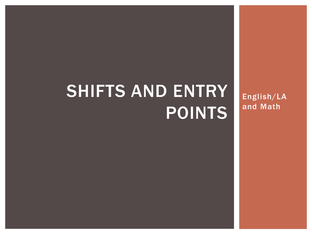# SHIFTS AND ENTRY POINTS

English/LA and Math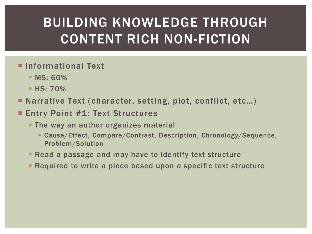## BUILDING KNOWLEDGE THROUGH CONTENT RICH NON-FICTION

- **Informational Text** 
	- **MS**: 60%
	- $\blacksquare$  HS: 70%
- Narrative Text (character, setting, plot, conflict, etc...)
- Entry Point #1: Text Structures
	- **The way an author organizes material** 
		- Cause/Effect, Compare/Contrast, Description, Chronology/Sequence, Problem/Solution
	- Read a passage and may have to identify text structure
	- Required to write a piece based upon a specific text structure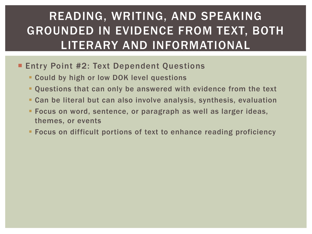#### READING, WRITING, AND SPEAKING GROUNDED IN EVIDENCE FROM TEXT, BOTH LITERARY AND INFORMATIONAL

- **Entry Point #2: Text Dependent Questions** 
	- Could by high or low DOK level questions
	- Questions that can only be answered with evidence from the text
	- Can be literal but can also involve analysis, synthesis, evaluation
	- **Focus on word, sentence, or paragraph as well as larger ideas,** themes, or events
	- Focus on difficult portions of text to enhance reading proficiency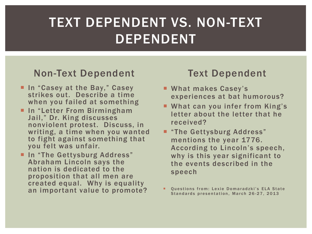### TEXT DEPENDENT VS. NON-TEXT DEPENDENT

#### Non-Text Dependent

- **In "Casey at the Bay," Casey** strikes out. Describe a time when you failed at something
- **In "Letter From Birmingham** Jail," Dr. King discusses nonviolent protest. Discuss, in writing, a time when you wanted to fight against something that you felt was unfair.
- **In "The Gettysburg Address"** Abraham Lincoln says the nation is dedicated to the proposition that all men are created equal. Why is equality an important value to promote?

#### Text Dependent

- **What makes Casey's** experiences at bat humorous?
- **What can you infer from King's** letter about the letter that he received?
- **F** "The Gettysburg Address" mentions the year 1776. According to Lincoln's speech, why is this year significant to the events described in the speech
- Questions from: Lexie Domaradzki's ELA State Standards presentation, March 26-27, 2013